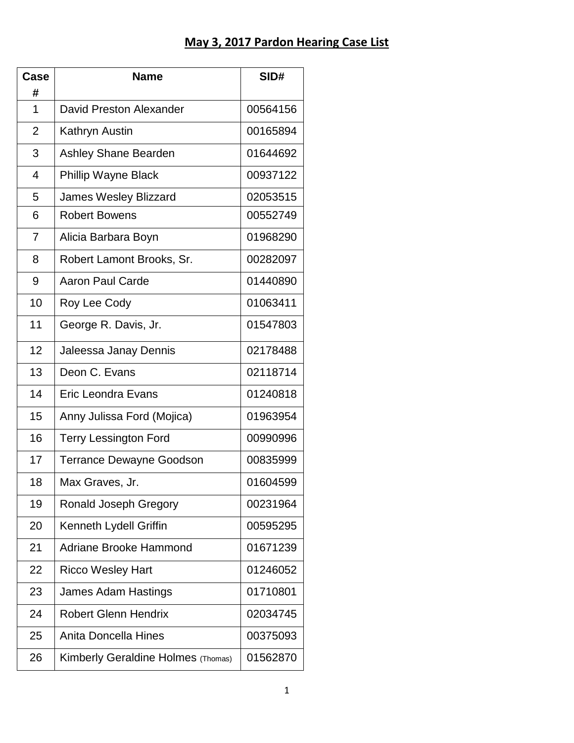## **May 3, 2017 Pardon Hearing Case List**

| Case           | <b>Name</b>                        | SID#     |
|----------------|------------------------------------|----------|
| #              |                                    |          |
| 1              | David Preston Alexander            | 00564156 |
| $\overline{2}$ | Kathryn Austin                     | 00165894 |
| 3              | <b>Ashley Shane Bearden</b>        | 01644692 |
| $\overline{4}$ | <b>Phillip Wayne Black</b>         | 00937122 |
| 5              | <b>James Wesley Blizzard</b>       | 02053515 |
| 6              | <b>Robert Bowens</b>               | 00552749 |
| $\overline{7}$ | Alicia Barbara Boyn                | 01968290 |
| 8              | Robert Lamont Brooks, Sr.          | 00282097 |
| 9              | <b>Aaron Paul Carde</b>            | 01440890 |
| 10             | Roy Lee Cody                       | 01063411 |
| 11             | George R. Davis, Jr.               | 01547803 |
| 12             | Jaleessa Janay Dennis              | 02178488 |
| 13             | Deon C. Evans                      | 02118714 |
| 14             | Eric Leondra Evans                 | 01240818 |
| 15             | Anny Julissa Ford (Mojica)         | 01963954 |
| 16             | <b>Terry Lessington Ford</b>       | 00990996 |
| 17             | <b>Terrance Dewayne Goodson</b>    | 00835999 |
| 18             | Max Graves, Jr.                    | 01604599 |
| 19             | Ronald Joseph Gregory              | 00231964 |
| 20             | Kenneth Lydell Griffin             | 00595295 |
| 21             | <b>Adriane Brooke Hammond</b>      | 01671239 |
| 22             | <b>Ricco Wesley Hart</b>           | 01246052 |
| 23             | James Adam Hastings                | 01710801 |
| 24             | <b>Robert Glenn Hendrix</b>        | 02034745 |
| 25             | Anita Doncella Hines               | 00375093 |
| 26             | Kimberly Geraldine Holmes (Thomas) | 01562870 |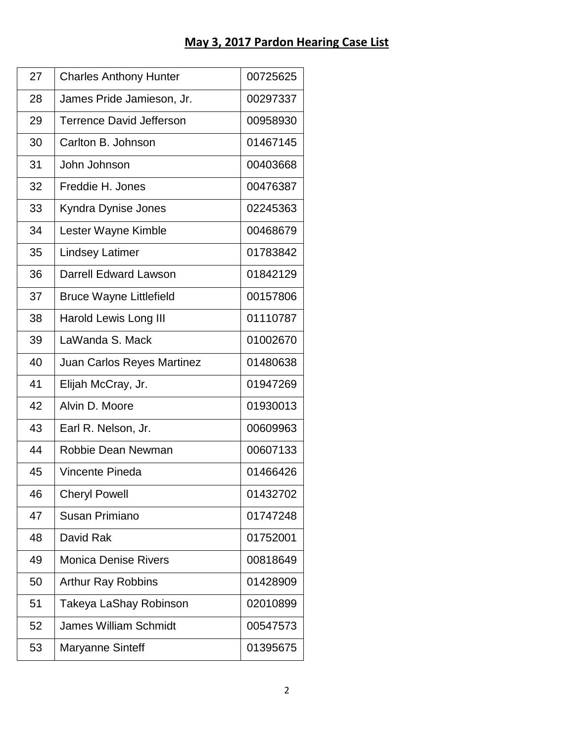| 27 | <b>Charles Anthony Hunter</b>     | 00725625 |
|----|-----------------------------------|----------|
| 28 | James Pride Jamieson, Jr.         | 00297337 |
| 29 | <b>Terrence David Jefferson</b>   | 00958930 |
| 30 | Carlton B. Johnson                | 01467145 |
| 31 | John Johnson                      | 00403668 |
| 32 | Freddie H. Jones                  | 00476387 |
| 33 | Kyndra Dynise Jones               | 02245363 |
| 34 | Lester Wayne Kimble               | 00468679 |
| 35 | <b>Lindsey Latimer</b>            | 01783842 |
| 36 | <b>Darrell Edward Lawson</b>      | 01842129 |
| 37 | <b>Bruce Wayne Littlefield</b>    | 00157806 |
| 38 | Harold Lewis Long III             | 01110787 |
| 39 | LaWanda S. Mack                   | 01002670 |
| 40 | <b>Juan Carlos Reyes Martinez</b> | 01480638 |
| 41 | Elijah McCray, Jr.                | 01947269 |
| 42 | Alvin D. Moore                    | 01930013 |
| 43 | Earl R. Nelson, Jr.               | 00609963 |
| 44 | Robbie Dean Newman                | 00607133 |
| 45 | Vincente Pineda                   | 01466426 |
| 46 | <b>Cheryl Powell</b>              | 01432702 |
| 47 | Susan Primiano                    | 01747248 |
| 48 | David Rak                         | 01752001 |
| 49 | <b>Monica Denise Rivers</b>       | 00818649 |
| 50 | <b>Arthur Ray Robbins</b>         | 01428909 |
| 51 | Takeya LaShay Robinson            | 02010899 |
| 52 | <b>James William Schmidt</b>      | 00547573 |
| 53 | Maryanne Sinteff                  | 01395675 |